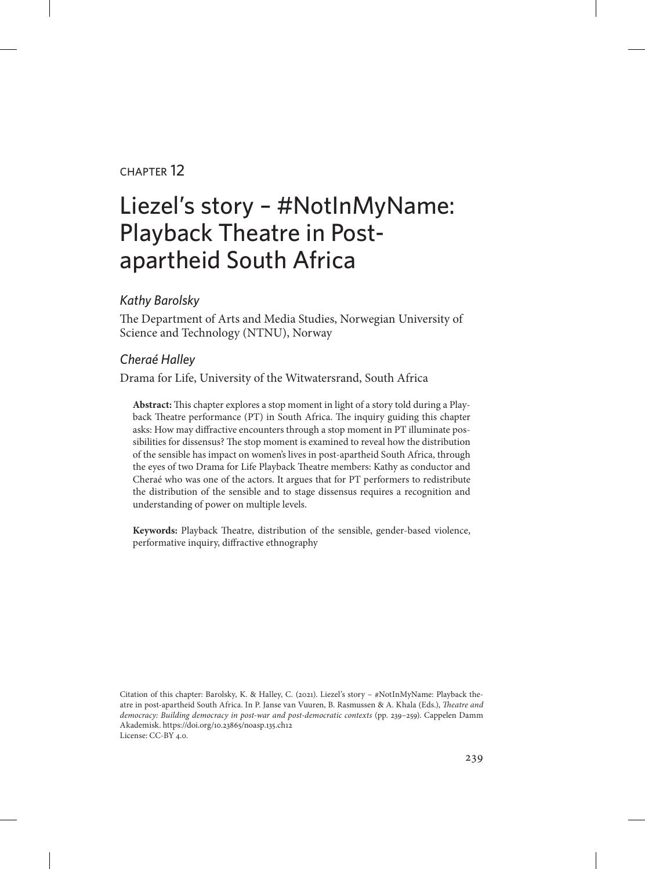## chapter 12

# Liezel's story – #NotInMyName: Playback Theatre in Postapartheid South Africa

### *Kathy Barolsky*

The Department of Arts and Media Studies, Norwegian University of Science and Technology (NTNU), Norway

### *Cheraé Halley*

Drama for Life, University of the Witwatersrand, South Africa

**Abstract:** This chapter explores a stop moment in light of a story told during a Playback Theatre performance (PT) in South Africa. The inquiry guiding this chapter asks: How may diffractive encounters through a stop moment in PT illuminate possibilities for dissensus? The stop moment is examined to reveal how the distribution of the sensible has impact on women's lives in post-apartheid South Africa, through the eyes of two Drama for Life Playback Theatre members: Kathy as conductor and Cheraé who was one of the actors. It argues that for PT performers to redistribute the distribution of the sensible and to stage dissensus requires a recognition and understanding of power on multiple levels.

**Keywords:** Playback Theatre, distribution of the sensible, gender-based violence, performative inquiry, diffractive ethnography

Citation of this chapter: Barolsky, K. & Halley, C. (2021). Liezel's story – #NotInMyName: Playback theatre in post-apartheid South Africa. In P. Janse van Vuuren, B. Rasmussen & A. Khala (Eds.), *Theatre and democracy: Building democracy in post-war and post-democratic contexts* (pp. 239–259). Cappelen Damm Akademisk. https://doi.org/10.23865/noasp.135.ch12 License: CC-BY 4.0.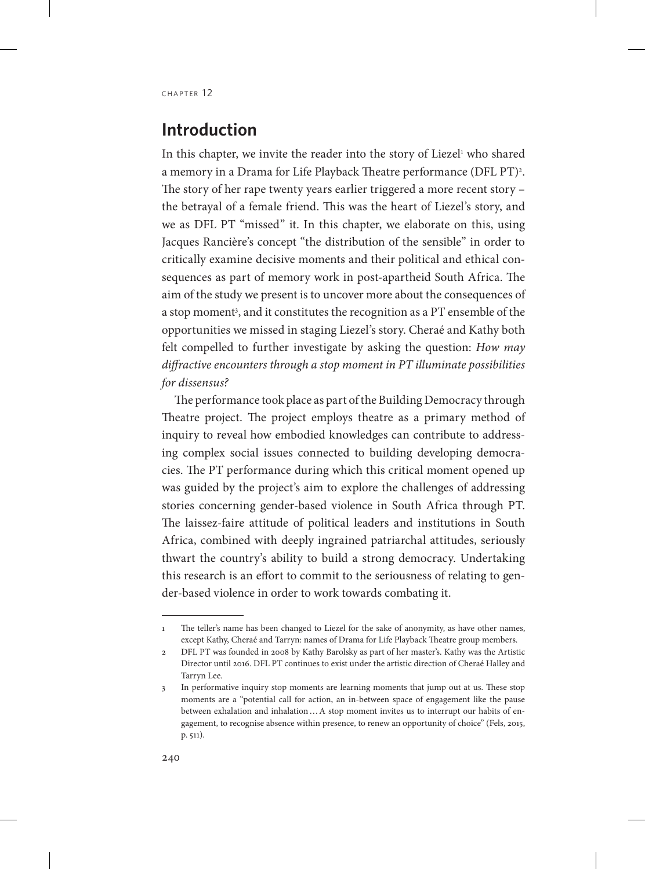# **Introduction**

In this chapter, we invite the reader into the story of Liezel<sup>1</sup> who shared a memory in a Drama for Life Playback Theatre performance (DFL PT)<sup>2</sup>. The story of her rape twenty years earlier triggered a more recent story – the betrayal of a female friend. This was the heart of Liezel's story, and we as DFL PT "missed" it. In this chapter, we elaborate on this, using Jacques Rancière's concept "the distribution of the sensible" in order to critically examine decisive moments and their political and ethical consequences as part of memory work in post-apartheid South Africa. The aim of the study we present is to uncover more about the consequences of a stop moment<sup>3</sup>, and it constitutes the recognition as a PT ensemble of the opportunities we missed in staging Liezel's story. Cheraé and Kathy both felt compelled to further investigate by asking the question: *How may diffractive encounters through a stop moment in PT illuminate possibilities for dissensus?*

The performance took place as part of the Building Democracy through Theatre project. The project employs theatre as a primary method of inquiry to reveal how embodied knowledges can contribute to addressing complex social issues connected to building developing democracies. The PT performance during which this critical moment opened up was guided by the project's aim to explore the challenges of addressing stories concerning gender-based violence in South Africa through PT. The laissez-faire attitude of political leaders and institutions in South Africa, combined with deeply ingrained patriarchal attitudes, seriously thwart the country's ability to build a strong democracy. Undertaking this research is an effort to commit to the seriousness of relating to gender-based violence in order to work towards combating it.

<sup>1</sup> The teller's name has been changed to Liezel for the sake of anonymity, as have other names, except Kathy, Cheraé and Tarryn: names of Drama for Life Playback Theatre group members.

<sup>2</sup> DFL PT was founded in 2008 by Kathy Barolsky as part of her master's. Kathy was the Artistic Director until 2016. DFL PT continues to exist under the artistic direction of Cheraé Halley and Tarryn Lee.

<sup>3</sup> In performative inquiry stop moments are learning moments that jump out at us. These stop moments are a "potential call for action, an in-between space of engagement like the pause between exhalation and inhalation…A stop moment invites us to interrupt our habits of engagement, to recognise absence within presence, to renew an opportunity of choice" (Fels, 2015, p. 511).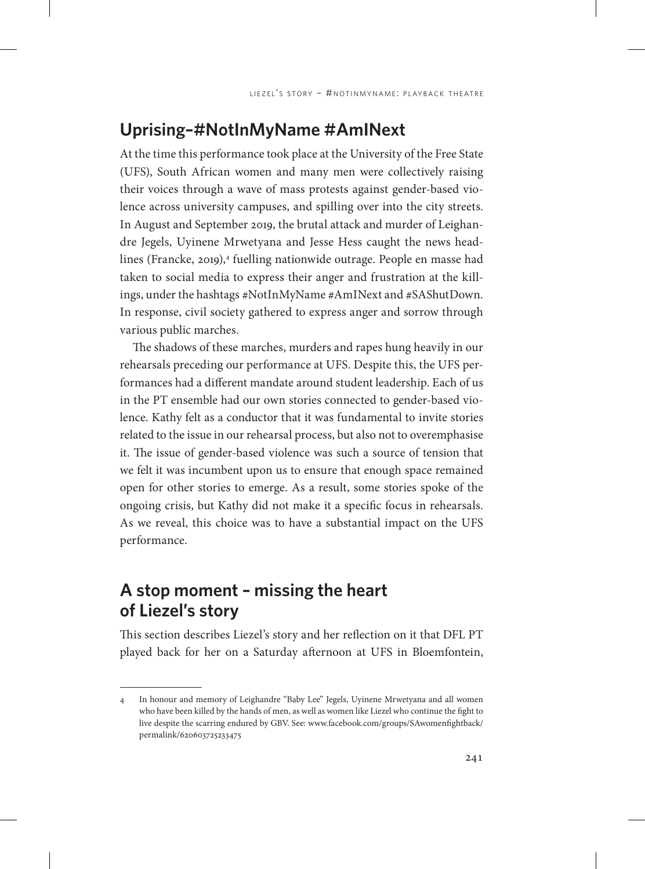# **Uprising–#NotInMyName #AmINext**

At the time this performance took place at the University of the Free State (UFS), South African women and many men were collectively raising their voices through a wave of mass protests against gender-based violence across university campuses, and spilling over into the city streets. In August and September 2019, the brutal attack and murder of Leighandre Jegels, Uyinene Mrwetyana and Jesse Hess caught the news headlines (Francke, 2019),<sup>4</sup> fuelling nationwide outrage. People en masse had taken to social media to express their anger and frustration at the killings, under the hashtags #NotInMyName #AmINext and #SAShutDown. In response, civil society gathered to express anger and sorrow through various public marches.

The shadows of these marches, murders and rapes hung heavily in our rehearsals preceding our performance at UFS. Despite this, the UFS performances had a different mandate around student leadership. Each of us in the PT ensemble had our own stories connected to gender-based violence. Kathy felt as a conductor that it was fundamental to invite stories related to the issue in our rehearsal process, but also not to overemphasise it. The issue of gender-based violence was such a source of tension that we felt it was incumbent upon us to ensure that enough space remained open for other stories to emerge. As a result, some stories spoke of the ongoing crisis, but Kathy did not make it a specific focus in rehearsals. As we reveal, this choice was to have a substantial impact on the UFS performance.

# **A stop moment – missing the heart of Liezel's story**

This section describes Liezel's story and her reflection on it that DFL PT played back for her on a Saturday afternoon at UFS in Bloemfontein,

<sup>4</sup> In honour and memory of Leighandre "Baby Lee" Jegels, Uyinene Mrwetyana and all women who have been killed by the hands of men, as well as women like Liezel who continue the fight to live despite the scarring endured by GBV. See: [www.facebook.com/groups/SAwomenfightback/](http://www.facebook.com/groups/SAwomenfightback/permalink/620603725233475) [permalink/620603725233475](http://www.facebook.com/groups/SAwomenfightback/permalink/620603725233475)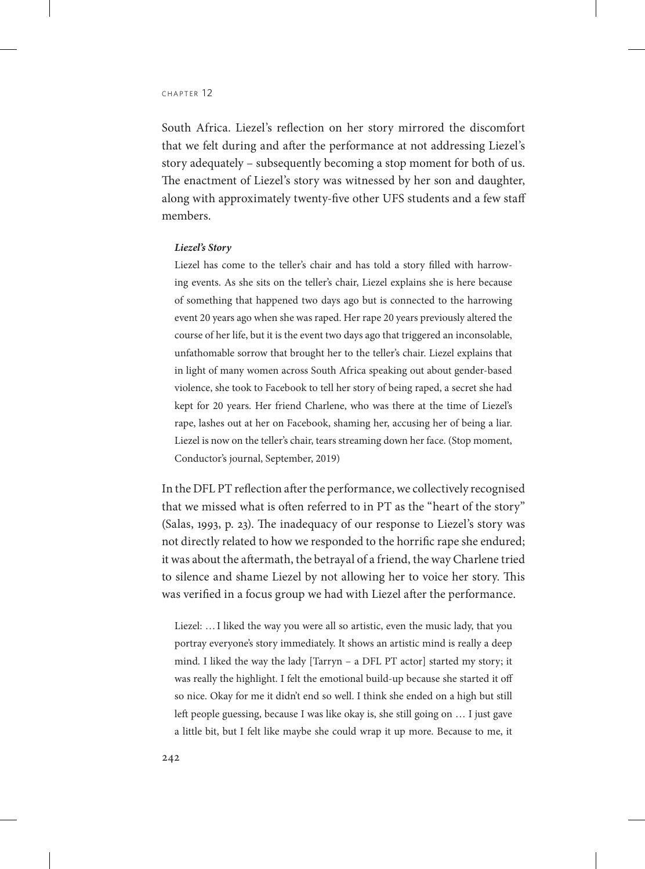South Africa. Liezel's reflection on her story mirrored the discomfort that we felt during and after the performance at not addressing Liezel's story adequately – subsequently becoming a stop moment for both of us. The enactment of Liezel's story was witnessed by her son and daughter, along with approximately twenty-five other UFS students and a few staff members.

#### *Liezel's Story*

Liezel has come to the teller's chair and has told a story filled with harrowing events. As she sits on the teller's chair, Liezel explains she is here because of something that happened two days ago but is connected to the harrowing event 20 years ago when she was raped. Her rape 20 years previously altered the course of her life, but it is the event two days ago that triggered an inconsolable, unfathomable sorrow that brought her to the teller's chair. Liezel explains that in light of many women across South Africa speaking out about gender-based violence, she took to Facebook to tell her story of being raped, a secret she had kept for 20 years. Her friend Charlene, who was there at the time of Liezel's rape, lashes out at her on Facebook, shaming her, accusing her of being a liar. Liezel is now on the teller's chair, tears streaming down her face. (Stop moment, Conductor's journal, September, 2019)

In the DFL PT reflection after the performance, we collectively recognised that we missed what is often referred to in PT as the "heart of the story" (Salas, 1993, p. 23). The inadequacy of our response to Liezel's story was not directly related to how we responded to the horrific rape she endured; it was about the aftermath, the betrayal of a friend, the way Charlene tried to silence and shame Liezel by not allowing her to voice her story. This was verified in a focus group we had with Liezel after the performance.

Liezel: …I liked the way you were all so artistic, even the music lady, that you portray everyone's story immediately. It shows an artistic mind is really a deep mind. I liked the way the lady [Tarryn – a DFL PT actor] started my story; it was really the highlight. I felt the emotional build-up because she started it off so nice. Okay for me it didn't end so well. I think she ended on a high but still left people guessing, because I was like okay is, she still going on … I just gave a little bit, but I felt like maybe she could wrap it up more. Because to me, it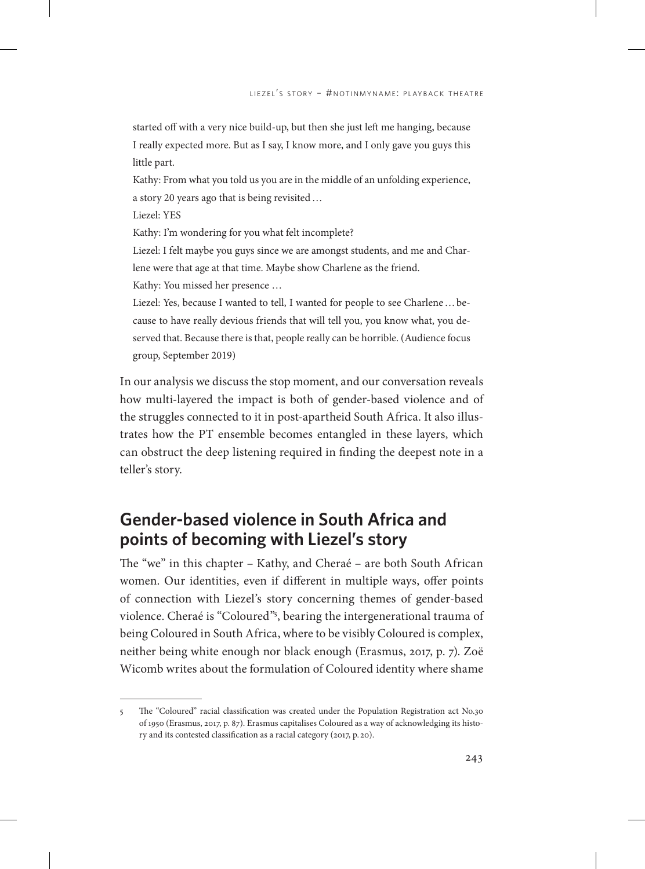started off with a very nice build-up, but then she just left me hanging, because I really expected more. But as I say, I know more, and I only gave you guys this little part.

Kathy: From what you told us you are in the middle of an unfolding experience, a story 20 years ago that is being revisited…

Liezel: YES

Kathy: I'm wondering for you what felt incomplete?

Liezel: I felt maybe you guys since we are amongst students, and me and Charlene were that age at that time. Maybe show Charlene as the friend. Kathy: You missed her presence …

Liezel: Yes, because I wanted to tell, I wanted for people to see Charlene…because to have really devious friends that will tell you, you know what, you deserved that. Because there is that, people really can be horrible. (Audience focus group, September 2019)

In our analysis we discuss the stop moment, and our conversation reveals how multi-layered the impact is both of gender-based violence and of the struggles connected to it in post-apartheid South Africa. It also illustrates how the PT ensemble becomes entangled in these layers, which can obstruct the deep listening required in finding the deepest note in a teller's story.

# **Gender-based violence in South Africa and points of becoming with Liezel's story**

The "we" in this chapter – Kathy, and Cheraé – are both South African women. Our identities, even if different in multiple ways, offer points of connection with Liezel's story concerning themes of gender-based violence. Cheraé is "Coloured"5 , bearing the intergenerational trauma of being Coloured in South Africa, where to be visibly Coloured is complex, neither being white enough nor black enough (Erasmus, 2017, p. 7). Zoë Wicomb writes about the formulation of Coloured identity where shame

<sup>5</sup> The "Coloured" racial classification was created under the Population Registration act No.30 of 1950 (Erasmus, 2017, p. 87). Erasmus capitalises Coloured as a way of acknowledging its history and its contested classification as a racial category (2017, p. 20).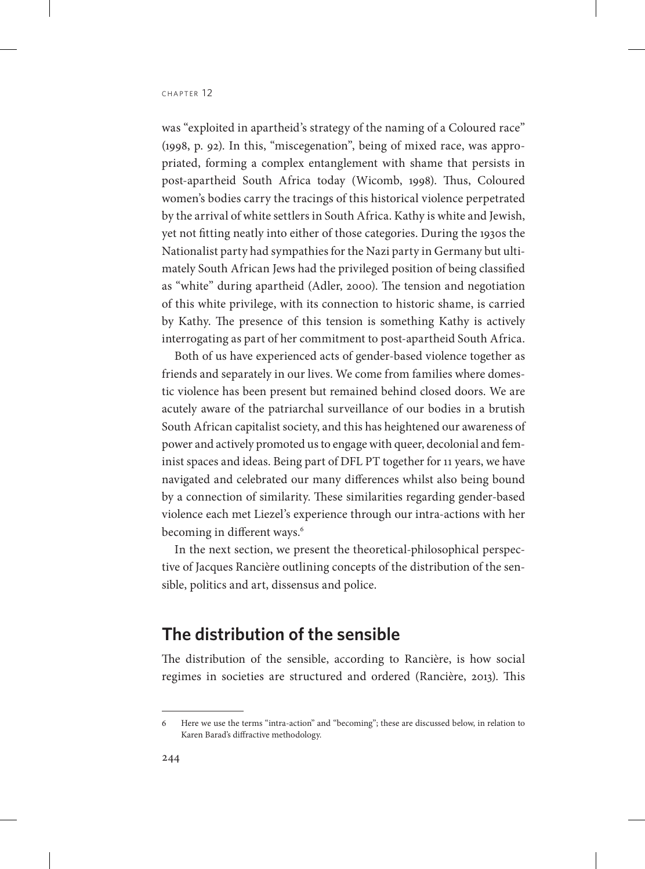was "exploited in apartheid's strategy of the naming of a Coloured race" (1998, p. 92). In this, "miscegenation", being of mixed race, was appropriated, forming a complex entanglement with shame that persists in post-apartheid South Africa today (Wicomb, 1998). Thus, Coloured women's bodies carry the tracings of this historical violence perpetrated by the arrival of white settlers in South Africa. Kathy is white and Jewish, yet not fitting neatly into either of those categories. During the 1930s the Nationalist party had sympathies for the Nazi party in Germany but ultimately South African Jews had the privileged position of being classified as "white" during apartheid (Adler, 2000). The tension and negotiation of this white privilege, with its connection to historic shame, is carried by Kathy. The presence of this tension is something Kathy is actively interrogating as part of her commitment to post-apartheid South Africa.

Both of us have experienced acts of gender-based violence together as friends and separately in our lives. We come from families where domestic violence has been present but remained behind closed doors. We are acutely aware of the patriarchal surveillance of our bodies in a brutish South African capitalist society, and this has heightened our awareness of power and actively promoted us to engage with queer, decolonial and feminist spaces and ideas. Being part of DFL PT together for 11 years, we have navigated and celebrated our many differences whilst also being bound by a connection of similarity. These similarities regarding gender-based violence each met Liezel's experience through our intra-actions with her becoming in different ways.<sup>6</sup>

In the next section, we present the theoretical-philosophical perspective of Jacques Rancière outlining concepts of the distribution of the sensible, politics and art, dissensus and police.

# **The distribution of the sensible**

The distribution of the sensible, according to Rancière, is how social regimes in societies are structured and ordered (Rancière, 2013). This

<sup>6</sup> Here we use the terms "intra-action" and "becoming"; these are discussed below, in relation to Karen Barad's diffractive methodology.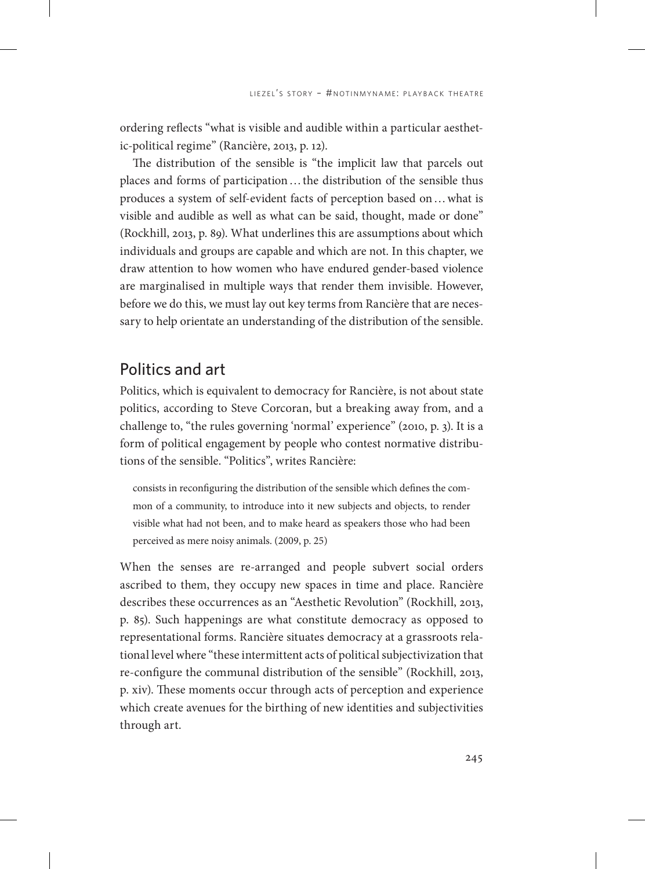ordering reflects "what is visible and audible within a particular aesthetic-political regime" (Rancière, 2013, p. 12).

The distribution of the sensible is "the implicit law that parcels out places and forms of participation…the distribution of the sensible thus produces a system of self-evident facts of perception based on…what is visible and audible as well as what can be said, thought, made or done" (Rockhill, 2013, p. 89). What underlines this are assumptions about which individuals and groups are capable and which are not. In this chapter, we draw attention to how women who have endured gender-based violence are marginalised in multiple ways that render them invisible. However, before we do this, we must lay out key terms from Rancière that are necessary to help orientate an understanding of the distribution of the sensible.

## Politics and art

Politics, which is equivalent to democracy for Rancière, is not about state politics, according to Steve Corcoran, but a breaking away from, and a challenge to, "the rules governing 'normal' experience" (2010, p. 3). It is a form of political engagement by people who contest normative distributions of the sensible. "Politics", writes Rancière:

consists in reconfiguring the distribution of the sensible which defines the common of a community, to introduce into it new subjects and objects, to render visible what had not been, and to make heard as speakers those who had been perceived as mere noisy animals. (2009, p. 25)

When the senses are re-arranged and people subvert social orders ascribed to them, they occupy new spaces in time and place. Rancière describes these occurrences as an "Aesthetic Revolution" (Rockhill, 2013, p. 85). Such happenings are what constitute democracy as opposed to representational forms. Rancière situates democracy at a grassroots relational level where "these intermittent acts of political subjectivization that re-configure the communal distribution of the sensible" (Rockhill, 2013, p. xiv). These moments occur through acts of perception and experience which create avenues for the birthing of new identities and subjectivities through art.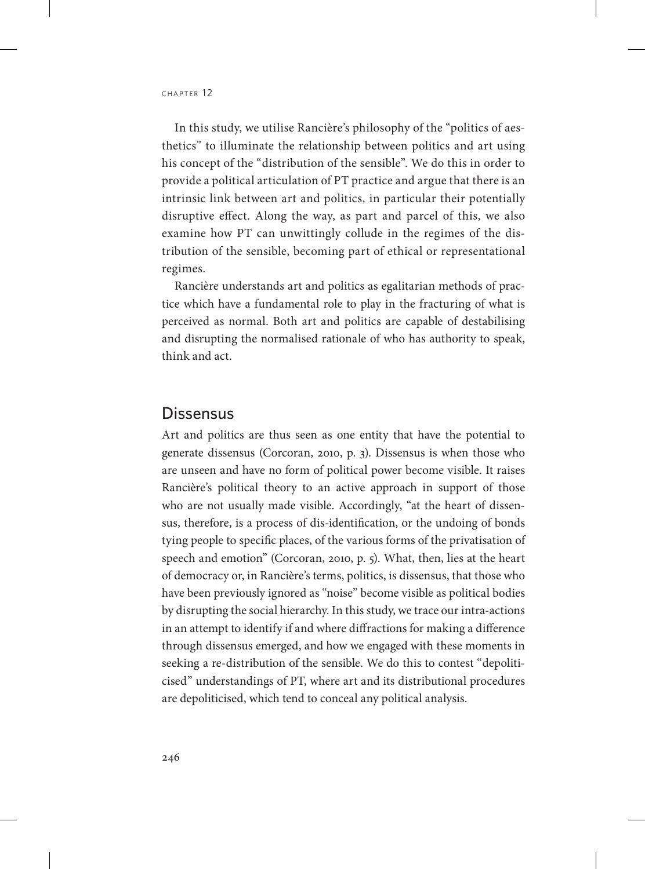In this study, we utilise Rancière's philosophy of the "politics of aesthetics" to illuminate the relationship between politics and art using his concept of the "distribution of the sensible". We do this in order to provide a political articulation of PT practice and argue that there is an intrinsic link between art and politics, in particular their potentially disruptive effect. Along the way, as part and parcel of this, we also examine how PT can unwittingly collude in the regimes of the distribution of the sensible, becoming part of ethical or representational regimes.

Rancière understands art and politics as egalitarian methods of practice which have a fundamental role to play in the fracturing of what is perceived as normal. Both art and politics are capable of destabilising and disrupting the normalised rationale of who has authority to speak, think and act.

## **Dissensus**

Art and politics are thus seen as one entity that have the potential to generate dissensus (Corcoran, 2010, p. 3). Dissensus is when those who are unseen and have no form of political power become visible. It raises Rancière's political theory to an active approach in support of those who are not usually made visible. Accordingly, "at the heart of dissensus, therefore, is a process of dis-identification, or the undoing of bonds tying people to specific places, of the various forms of the privatisation of speech and emotion" (Corcoran, 2010, p. 5). What, then, lies at the heart of democracy or, in Rancière's terms, politics, is dissensus, that those who have been previously ignored as "noise" become visible as political bodies by disrupting the social hierarchy. In this study, we trace our intra-actions in an attempt to identify if and where diffractions for making a difference through dissensus emerged, and how we engaged with these moments in seeking a re-distribution of the sensible. We do this to contest "depoliticised" understandings of PT, where art and its distributional procedures are depoliticised, which tend to conceal any political analysis.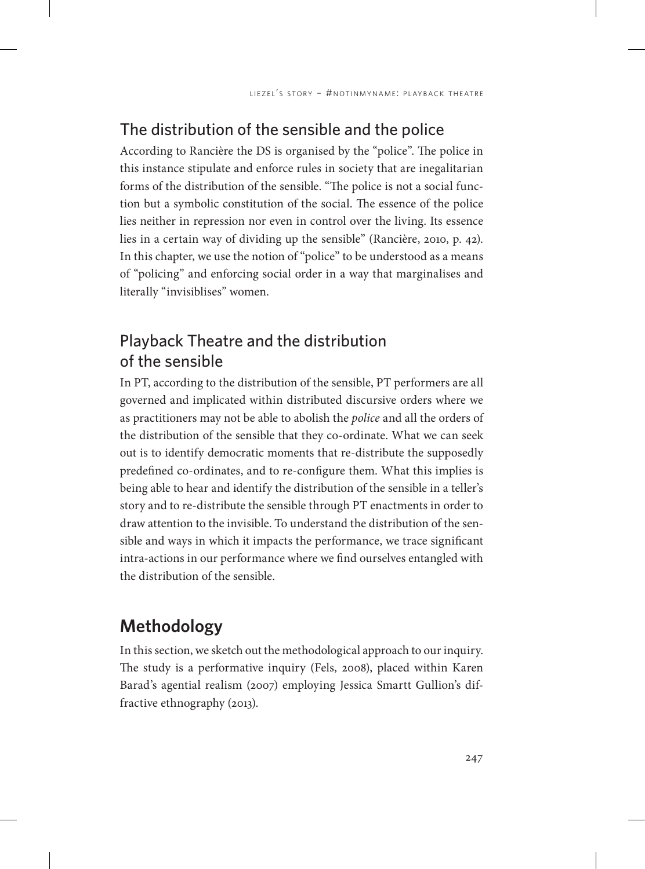# The distribution of the sensible and the police

According to Rancière the DS is organised by the "police". The police in this instance stipulate and enforce rules in society that are inegalitarian forms of the distribution of the sensible. "The police is not a social function but a symbolic constitution of the social. The essence of the police lies neither in repression nor even in control over the living. Its essence lies in a certain way of dividing up the sensible" (Rancière, 2010, p. 42). In this chapter, we use the notion of "police" to be understood as a means of "policing" and enforcing social order in a way that marginalises and literally "invisiblises" women.

# Playback Theatre and the distribution of the sensible

In PT, according to the distribution of the sensible, PT performers are all governed and implicated within distributed discursive orders where we as practitioners may not be able to abolish the *police* and all the orders of the distribution of the sensible that they co-ordinate. What we can seek out is to identify democratic moments that re-distribute the supposedly predefined co-ordinates, and to re-configure them. What this implies is being able to hear and identify the distribution of the sensible in a teller's story and to re-distribute the sensible through PT enactments in order to draw attention to the invisible. To understand the distribution of the sensible and ways in which it impacts the performance, we trace significant intra-actions in our performance where we find ourselves entangled with the distribution of the sensible.

# **Methodology**

In this section, we sketch out the methodological approach to our inquiry. The study is a performative inquiry (Fels, 2008), placed within Karen Barad's agential realism (2007) employing Jessica Smartt Gullion's diffractive ethnography (2013).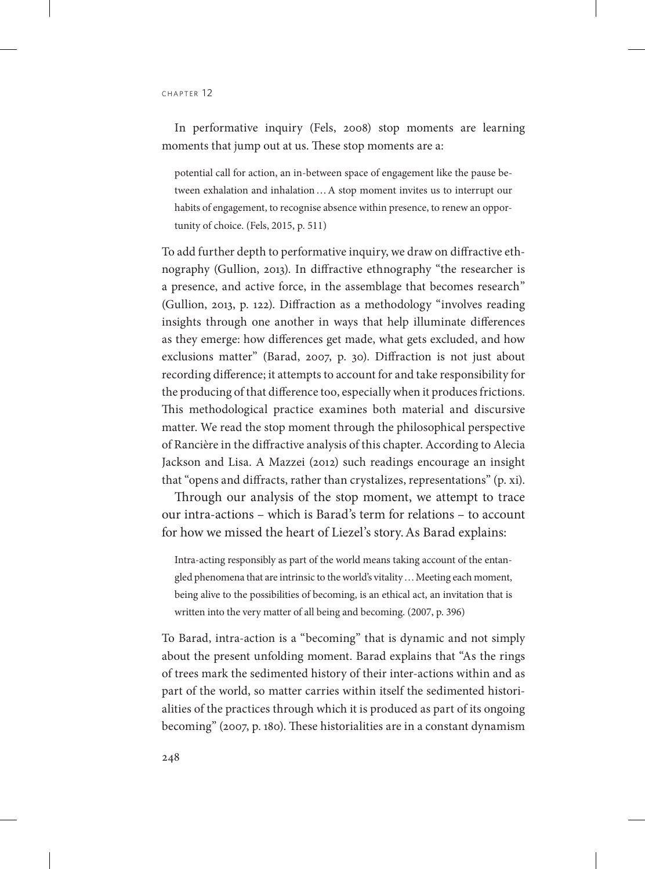CHAPTER 12

In performative inquiry (Fels, 2008) stop moments are learning moments that jump out at us. These stop moments are a:

potential call for action, an in-between space of engagement like the pause between exhalation and inhalation…A stop moment invites us to interrupt our habits of engagement, to recognise absence within presence, to renew an opportunity of choice. (Fels, 2015, p. 511)

To add further depth to performative inquiry, we draw on diffractive ethnography (Gullion, 2013). In diffractive ethnography "the researcher is a presence, and active force, in the assemblage that becomes research" (Gullion, 2013, p. 122). Diffraction as a methodology "involves reading insights through one another in ways that help illuminate differences as they emerge: how differences get made, what gets excluded, and how exclusions matter" (Barad, 2007, p. 30). Diffraction is not just about recording difference; it attempts to account for and take responsibility for the producing of that difference too, especially when it produces frictions. This methodological practice examines both material and discursive matter. We read the stop moment through the philosophical perspective of Rancière in the diffractive analysis of this chapter. According to Alecia Jackson and Lisa. A Mazzei (2012) such readings encourage an insight that "opens and diffracts, rather than crystalizes, representations" (p. xi).

Through our analysis of the stop moment, we attempt to trace our intra-actions – which is Barad's term for relations – to account for how we missed the heart of Liezel's story.As Barad explains:

Intra-acting responsibly as part of the world means taking account of the entangled phenomena that are intrinsic to the world's vitality ... Meeting each moment, being alive to the possibilities of becoming, is an ethical act, an invitation that is written into the very matter of all being and becoming. (2007, p. 396)

To Barad, intra-action is a "becoming" that is dynamic and not simply about the present unfolding moment. Barad explains that "As the rings of trees mark the sedimented history of their inter-actions within and as part of the world, so matter carries within itself the sedimented historialities of the practices through which it is produced as part of its ongoing becoming" (2007, p. 180). These historialities are in a constant dynamism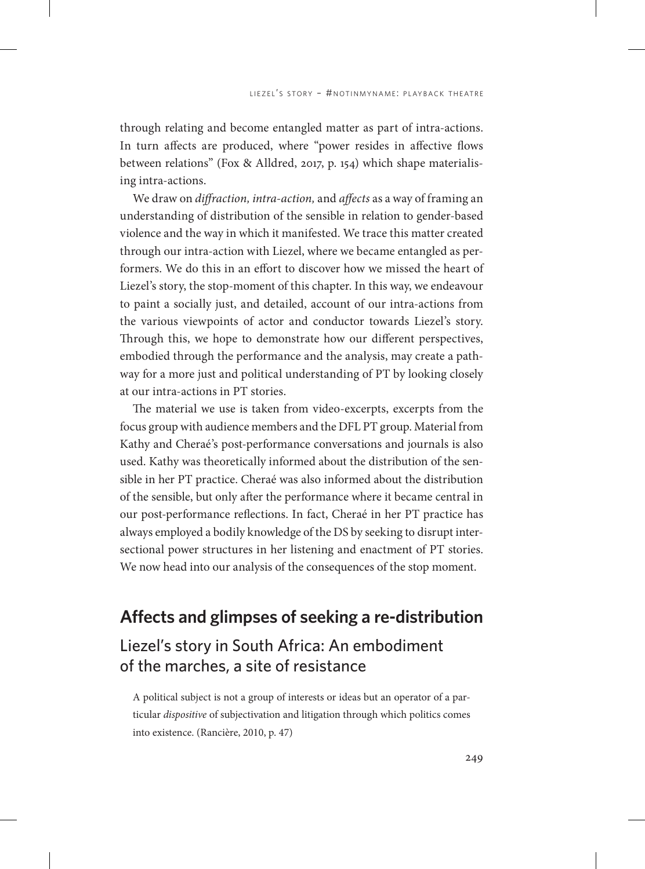through relating and become entangled matter as part of intra-actions. In turn affects are produced, where "power resides in affective flows between relations" (Fox & Alldred, 2017, p. 154) which shape materialising intra-actions.

We draw on *diffraction, intra-action,* and *affects* as a way of framing an understanding of distribution of the sensible in relation to gender-based violence and the way in which it manifested. We trace this matter created through our intra-action with Liezel, where we became entangled as performers. We do this in an effort to discover how we missed the heart of Liezel's story, the stop-moment of this chapter. In this way, we endeavour to paint a socially just, and detailed, account of our intra-actions from the various viewpoints of actor and conductor towards Liezel's story. Through this, we hope to demonstrate how our different perspectives, embodied through the performance and the analysis, may create a pathway for a more just and political understanding of PT by looking closely at our intra-actions in PT stories.

The material we use is taken from video-excerpts, excerpts from the focus group with audience members and the DFL PT group. Material from Kathy and Cheraé's post-performance conversations and journals is also used. Kathy was theoretically informed about the distribution of the sensible in her PT practice. Cheraé was also informed about the distribution of the sensible, but only after the performance where it became central in our post-performance reflections. In fact, Cheraé in her PT practice has always employed a bodily knowledge of the DS by seeking to disrupt intersectional power structures in her listening and enactment of PT stories. We now head into our analysis of the consequences of the stop moment.

# **Affects and glimpses of seeking a re-distribution**

# Liezel's story in South Africa: An embodiment of the marches, a site of resistance

A political subject is not a group of interests or ideas but an operator of a particular *dispositive* of subjectivation and litigation through which politics comes into existence. (Rancière, 2010, p. 47)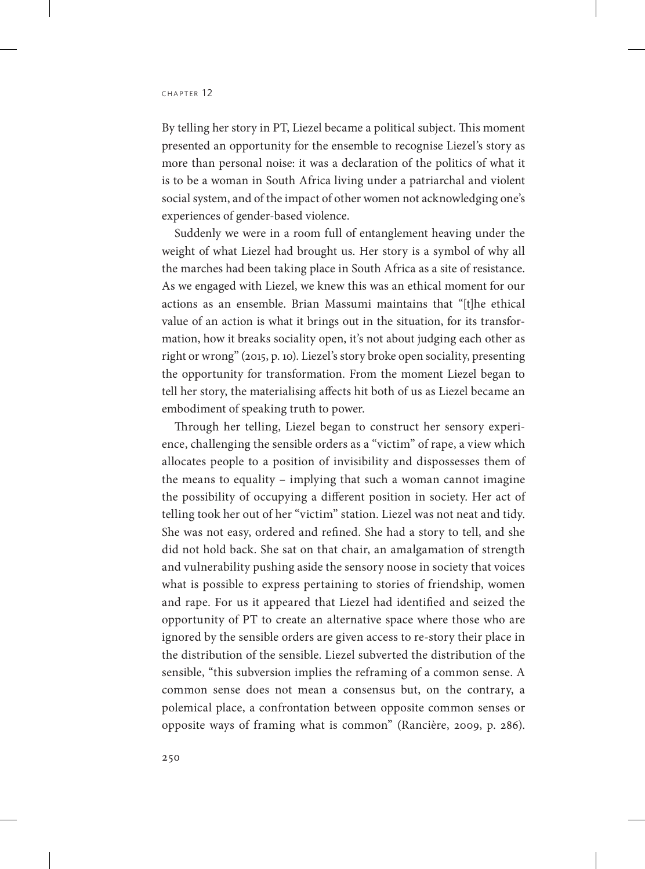By telling her story in PT, Liezel became a political subject. This moment presented an opportunity for the ensemble to recognise Liezel's story as more than personal noise: it was a declaration of the politics of what it is to be a woman in South Africa living under a patriarchal and violent social system, and of the impact of other women not acknowledging one's experiences of gender-based violence.

Suddenly we were in a room full of entanglement heaving under the weight of what Liezel had brought us. Her story is a symbol of why all the marches had been taking place in South Africa as a site of resistance. As we engaged with Liezel, we knew this was an ethical moment for our actions as an ensemble. Brian Massumi maintains that "[t]he ethical value of an action is what it brings out in the situation, for its transformation, how it breaks sociality open, it's not about judging each other as right or wrong" (2015, p. 10). Liezel's story broke open sociality, presenting the opportunity for transformation. From the moment Liezel began to tell her story, the materialising affects hit both of us as Liezel became an embodiment of speaking truth to power.

Through her telling, Liezel began to construct her sensory experience, challenging the sensible orders as a "victim" of rape, a view which allocates people to a position of invisibility and dispossesses them of the means to equality – implying that such a woman cannot imagine the possibility of occupying a different position in society. Her act of telling took her out of her "victim" station. Liezel was not neat and tidy. She was not easy, ordered and refined. She had a story to tell, and she did not hold back. She sat on that chair, an amalgamation of strength and vulnerability pushing aside the sensory noose in society that voices what is possible to express pertaining to stories of friendship, women and rape. For us it appeared that Liezel had identified and seized the opportunity of PT to create an alternative space where those who are ignored by the sensible orders are given access to re-story their place in the distribution of the sensible. Liezel subverted the distribution of the sensible, "this subversion implies the reframing of a common sense. A common sense does not mean a consensus but, on the contrary, a polemical place, a confrontation between opposite common senses or opposite ways of framing what is common" (Rancière, 2009, p. 286).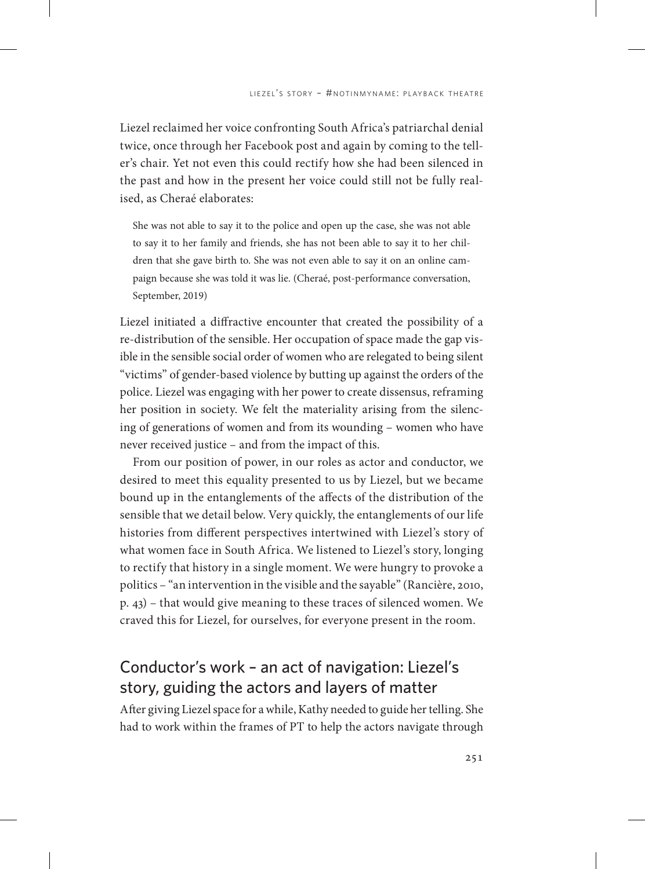Liezel reclaimed her voice confronting South Africa's patriarchal denial twice, once through her Facebook post and again by coming to the teller's chair. Yet not even this could rectify how she had been silenced in the past and how in the present her voice could still not be fully realised, as Cheraé elaborates:

She was not able to say it to the police and open up the case, she was not able to say it to her family and friends, she has not been able to say it to her children that she gave birth to. She was not even able to say it on an online campaign because she was told it was lie. (Cheraé, post-performance conversation, September, 2019)

Liezel initiated a diffractive encounter that created the possibility of a re-distribution of the sensible. Her occupation of space made the gap visible in the sensible social order of women who are relegated to being silent "victims" of gender-based violence by butting up against the orders of the police. Liezel was engaging with her power to create dissensus, reframing her position in society. We felt the materiality arising from the silencing of generations of women and from its wounding – women who have never received justice – and from the impact of this.

From our position of power, in our roles as actor and conductor, we desired to meet this equality presented to us by Liezel, but we became bound up in the entanglements of the affects of the distribution of the sensible that we detail below. Very quickly, the entanglements of our life histories from different perspectives intertwined with Liezel's story of what women face in South Africa. We listened to Liezel's story, longing to rectify that history in a single moment. We were hungry to provoke a politics – "an intervention in the visible and the sayable" (Rancière, 2010, p. 43) – that would give meaning to these traces of silenced women. We craved this for Liezel, for ourselves, for everyone present in the room.

# Conductor's work – an act of navigation: Liezel's story, guiding the actors and layers of matter

After giving Liezel space for a while, Kathy needed to guide her telling. She had to work within the frames of PT to help the actors navigate through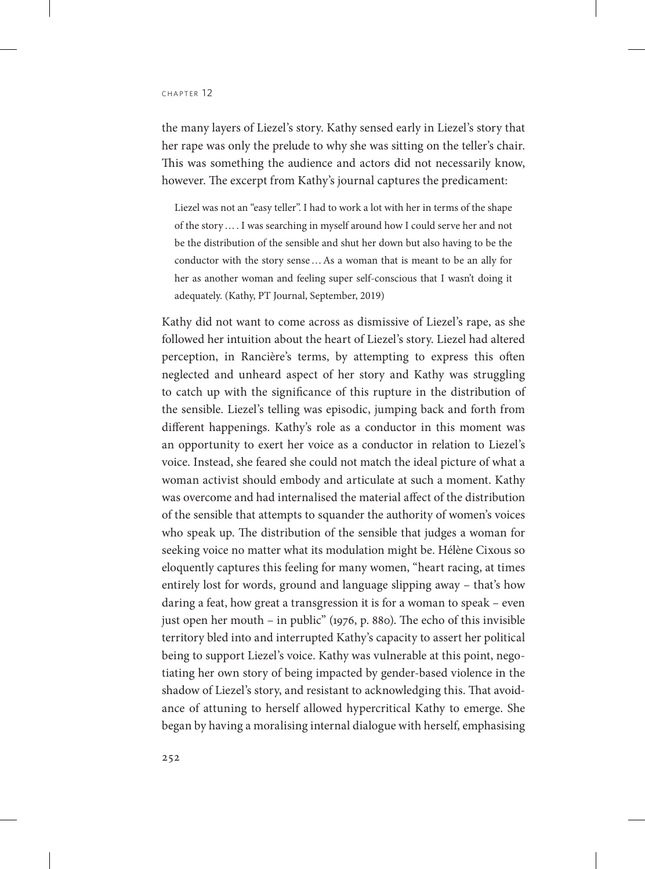the many layers of Liezel's story. Kathy sensed early in Liezel's story that her rape was only the prelude to why she was sitting on the teller's chair. This was something the audience and actors did not necessarily know, however. The excerpt from Kathy's journal captures the predicament:

Liezel was not an "easy teller". I had to work a lot with her in terms of the shape of the story…. I was searching in myself around how I could serve her and not be the distribution of the sensible and shut her down but also having to be the conductor with the story sense…As a woman that is meant to be an ally for her as another woman and feeling super self-conscious that I wasn't doing it adequately. (Kathy, PT Journal, September, 2019)

Kathy did not want to come across as dismissive of Liezel's rape, as she followed her intuition about the heart of Liezel's story. Liezel had altered perception, in Rancière's terms, by attempting to express this often neglected and unheard aspect of her story and Kathy was struggling to catch up with the significance of this rupture in the distribution of the sensible. Liezel's telling was episodic, jumping back and forth from different happenings. Kathy's role as a conductor in this moment was an opportunity to exert her voice as a conductor in relation to Liezel's voice. Instead, she feared she could not match the ideal picture of what a woman activist should embody and articulate at such a moment. Kathy was overcome and had internalised the material affect of the distribution of the sensible that attempts to squander the authority of women's voices who speak up. The distribution of the sensible that judges a woman for seeking voice no matter what its modulation might be. Hélène Cixous so eloquently captures this feeling for many women, "heart racing, at times entirely lost for words, ground and language slipping away – that's how daring a feat, how great a transgression it is for a woman to speak – even just open her mouth – in public" (1976, p. 880). The echo of this invisible territory bled into and interrupted Kathy's capacity to assert her political being to support Liezel's voice. Kathy was vulnerable at this point, negotiating her own story of being impacted by gender-based violence in the shadow of Liezel's story, and resistant to acknowledging this. That avoidance of attuning to herself allowed hypercritical Kathy to emerge. She began by having a moralising internal dialogue with herself, emphasising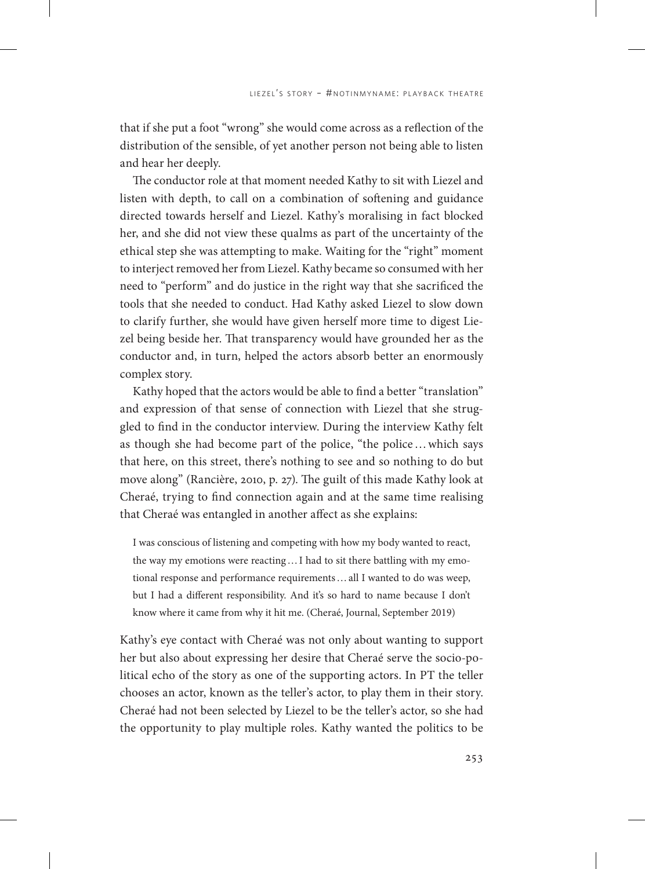that if she put a foot "wrong" she would come across as a reflection of the distribution of the sensible, of yet another person not being able to listen and hear her deeply.

The conductor role at that moment needed Kathy to sit with Liezel and listen with depth, to call on a combination of softening and guidance directed towards herself and Liezel. Kathy's moralising in fact blocked her, and she did not view these qualms as part of the uncertainty of the ethical step she was attempting to make. Waiting for the "right" moment to interject removed her from Liezel. Kathy became so consumed with her need to "perform" and do justice in the right way that she sacrificed the tools that she needed to conduct. Had Kathy asked Liezel to slow down to clarify further, she would have given herself more time to digest Liezel being beside her. That transparency would have grounded her as the conductor and, in turn, helped the actors absorb better an enormously complex story.

Kathy hoped that the actors would be able to find a better "translation" and expression of that sense of connection with Liezel that she struggled to find in the conductor interview. During the interview Kathy felt as though she had become part of the police, "the police…which says that here, on this street, there's nothing to see and so nothing to do but move along" (Rancière, 2010, p. 27). The guilt of this made Kathy look at Cheraé, trying to find connection again and at the same time realising that Cheraé was entangled in another affect as she explains:

I was conscious of listening and competing with how my body wanted to react, the way my emotions were reacting…I had to sit there battling with my emotional response and performance requirements…all I wanted to do was weep, but I had a different responsibility. And it's so hard to name because I don't know where it came from why it hit me. (Cheraé, Journal, September 2019)

Kathy's eye contact with Cheraé was not only about wanting to support her but also about expressing her desire that Cheraé serve the socio-political echo of the story as one of the supporting actors. In PT the teller chooses an actor, known as the teller's actor, to play them in their story. Cheraé had not been selected by Liezel to be the teller's actor, so she had the opportunity to play multiple roles. Kathy wanted the politics to be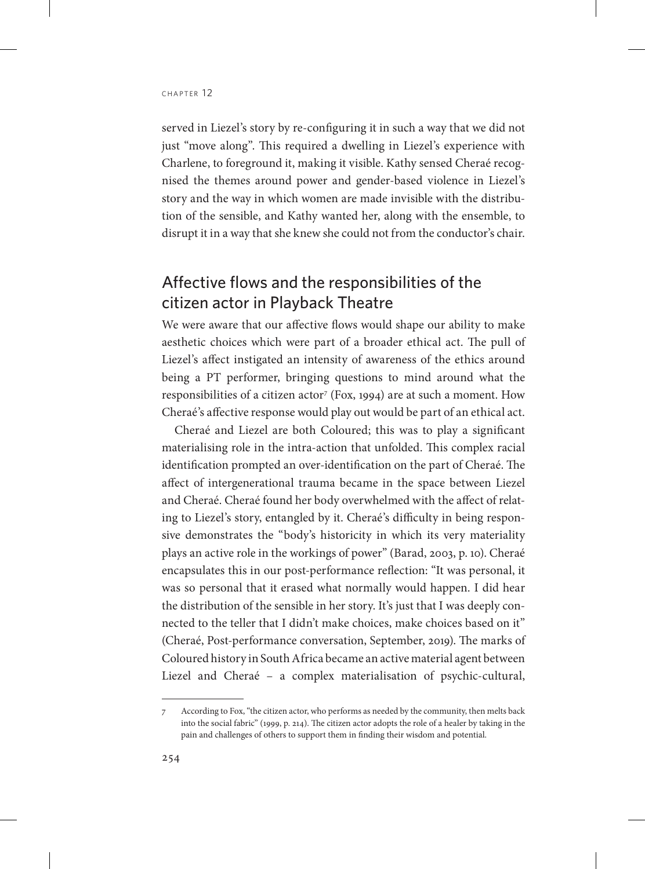served in Liezel's story by re-configuring it in such a way that we did not just "move along". This required a dwelling in Liezel's experience with Charlene, to foreground it, making it visible. Kathy sensed Cheraé recognised the themes around power and gender-based violence in Liezel's story and the way in which women are made invisible with the distribution of the sensible, and Kathy wanted her, along with the ensemble, to disrupt it in a way that she knew she could not from the conductor's chair.

# Affective flows and the responsibilities of the citizen actor in Playback Theatre

We were aware that our affective flows would shape our ability to make aesthetic choices which were part of a broader ethical act. The pull of Liezel's affect instigated an intensity of awareness of the ethics around being a PT performer, bringing questions to mind around what the responsibilities of a citizen actor<sup>7</sup> (Fox, 1994) are at such a moment. How Cheraé's affective response would play out would be part of an ethical act.

Cheraé and Liezel are both Coloured; this was to play a significant materialising role in the intra-action that unfolded. This complex racial identification prompted an over-identification on the part of Cheraé. The affect of intergenerational trauma became in the space between Liezel and Cheraé. Cheraé found her body overwhelmed with the affect of relating to Liezel's story, entangled by it. Cheraé's difficulty in being responsive demonstrates the "body's historicity in which its very materiality plays an active role in the workings of power" (Barad, 2003, p. 10). Cheraé encapsulates this in our post-performance reflection: "It was personal, it was so personal that it erased what normally would happen. I did hear the distribution of the sensible in her story. It's just that I was deeply connected to the teller that I didn't make choices, make choices based on it" (Cheraé, Post-performance conversation, September, 2019). The marks of Coloured history in South Africa became an active material agent between Liezel and Cheraé – a complex materialisation of psychic-cultural,

<sup>7</sup> According to Fox, "the citizen actor, who performs as needed by the community, then melts back into the social fabric" (1999, p. 214). The citizen actor adopts the role of a healer by taking in the pain and challenges of others to support them in finding their wisdom and potential.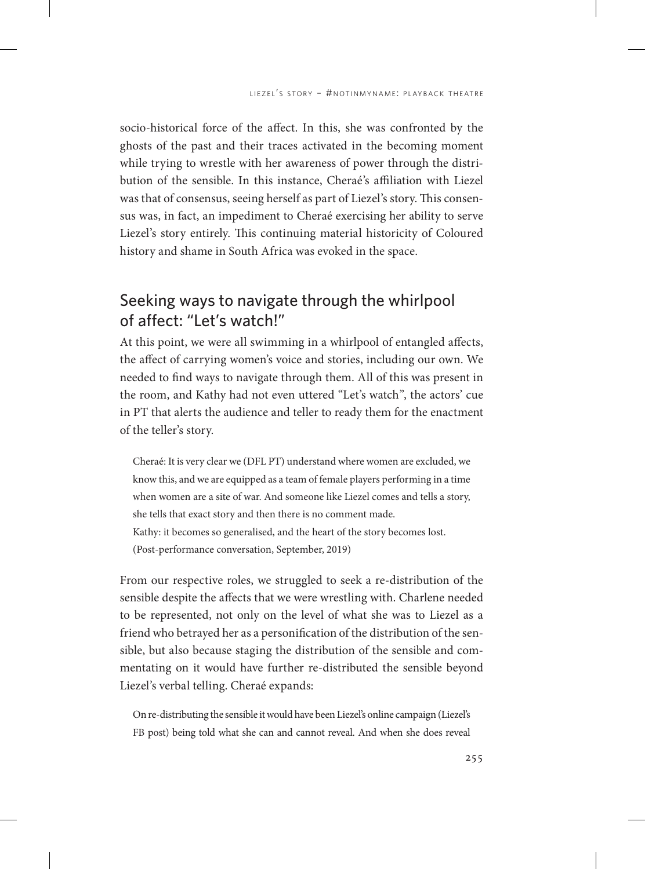socio-historical force of the affect. In this, she was confronted by the ghosts of the past and their traces activated in the becoming moment while trying to wrestle with her awareness of power through the distribution of the sensible. In this instance, Cheraé's affiliation with Liezel was that of consensus, seeing herself as part of Liezel's story. This consensus was, in fact, an impediment to Cheraé exercising her ability to serve Liezel's story entirely. This continuing material historicity of Coloured history and shame in South Africa was evoked in the space.

# Seeking ways to navigate through the whirlpool of affect: "Let's watch!"

At this point, we were all swimming in a whirlpool of entangled affects, the affect of carrying women's voice and stories, including our own. We needed to find ways to navigate through them. All of this was present in the room, and Kathy had not even uttered "Let's watch", the actors' cue in PT that alerts the audience and teller to ready them for the enactment of the teller's story.

Cheraé: It is very clear we (DFL PT) understand where women are excluded, we know this, and we are equipped as a team of female players performing in a time when women are a site of war. And someone like Liezel comes and tells a story, she tells that exact story and then there is no comment made. Kathy: it becomes so generalised, and the heart of the story becomes lost. (Post-performance conversation, September, 2019)

From our respective roles, we struggled to seek a re-distribution of the sensible despite the affects that we were wrestling with. Charlene needed to be represented, not only on the level of what she was to Liezel as a friend who betrayed her as a personification of the distribution of the sensible, but also because staging the distribution of the sensible and commentating on it would have further re-distributed the sensible beyond Liezel's verbal telling. Cheraé expands:

On re-distributing the sensible it would have been Liezel's online campaign (Liezel's FB post) being told what she can and cannot reveal. And when she does reveal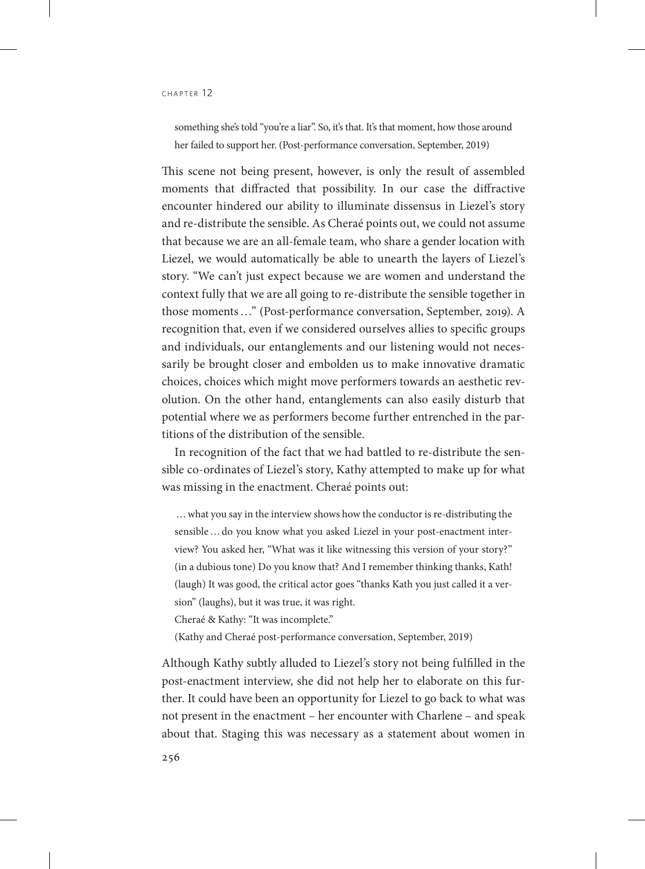something she's told "you're a liar". So, it's that. It's that moment, how those around her failed to support her. (Post-performance conversation, September, 2019)

This scene not being present, however, is only the result of assembled moments that diffracted that possibility. In our case the diffractive encounter hindered our ability to illuminate dissensus in Liezel's story and re-distribute the sensible. As Cheraé points out, we could not assume that because we are an all-female team, who share a gender location with Liezel, we would automatically be able to unearth the layers of Liezel's story. "We can't just expect because we are women and understand the context fully that we are all going to re-distribute the sensible together in those moments…" (Post-performance conversation, September, 2019). A recognition that, even if we considered ourselves allies to specific groups and individuals, our entanglements and our listening would not necessarily be brought closer and embolden us to make innovative dramatic choices, choices which might move performers towards an aesthetic revolution. On the other hand, entanglements can also easily disturb that potential where we as performers become further entrenched in the partitions of the distribution of the sensible.

In recognition of the fact that we had battled to re-distribute the sensible co-ordinates of Liezel's story, Kathy attempted to make up for what was missing in the enactment. Cheraé points out:

…what you say in the interview shows how the conductor is re-distributing the sensible…do you know what you asked Liezel in your post-enactment interview? You asked her, "What was it like witnessing this version of your story?" (in a dubious tone) Do you know that? And I remember thinking thanks, Kath! (laugh) It was good, the critical actor goes "thanks Kath you just called it a version" (laughs), but it was true, it was right.

Cheraé & Kathy: "It was incomplete."

(Kathy and Cheraé post-performance conversation, September, 2019)

Although Kathy subtly alluded to Liezel's story not being fulfilled in the post-enactment interview, she did not help her to elaborate on this further. It could have been an opportunity for Liezel to go back to what was not present in the enactment – her encounter with Charlene – and speak about that. Staging this was necessary as a statement about women in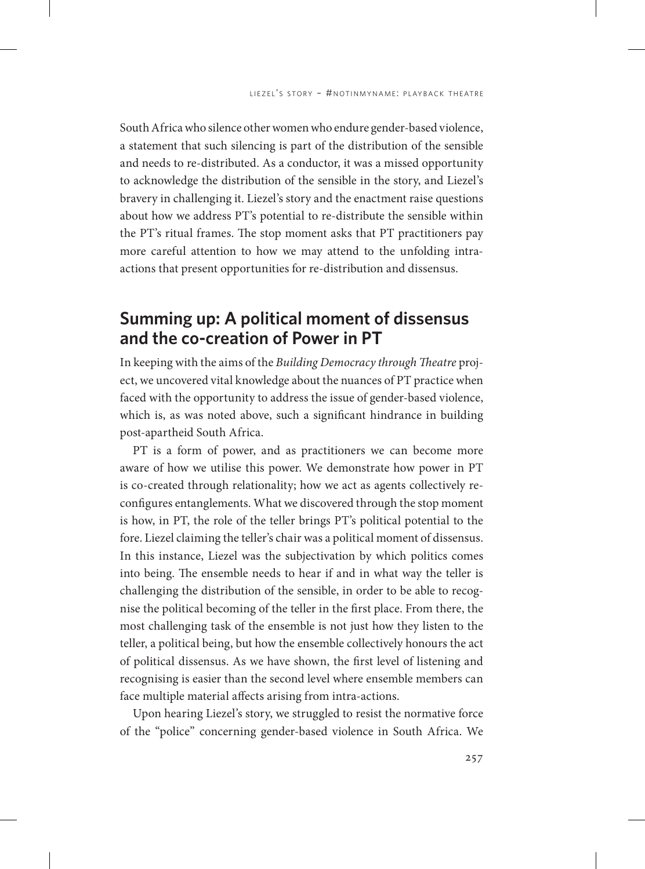South Africa who silence other women who endure gender-based violence, a statement that such silencing is part of the distribution of the sensible and needs to re-distributed. As a conductor, it was a missed opportunity to acknowledge the distribution of the sensible in the story, and Liezel's bravery in challenging it. Liezel's story and the enactment raise questions about how we address PT's potential to re-distribute the sensible within the PT's ritual frames. The stop moment asks that PT practitioners pay more careful attention to how we may attend to the unfolding intraactions that present opportunities for re-distribution and dissensus.

# **Summing up: A political moment of dissensus and the co-creation of Power in PT**

In keeping with the aims of the *Building Democracy through Theatre* project, we uncovered vital knowledge about the nuances of PT practice when faced with the opportunity to address the issue of gender-based violence, which is, as was noted above, such a significant hindrance in building post-apartheid South Africa.

PT is a form of power, and as practitioners we can become more aware of how we utilise this power. We demonstrate how power in PT is co-created through relationality; how we act as agents collectively reconfigures entanglements. What we discovered through the stop moment is how, in PT, the role of the teller brings PT's political potential to the fore. Liezel claiming the teller's chair was a political moment of dissensus. In this instance, Liezel was the subjectivation by which politics comes into being. The ensemble needs to hear if and in what way the teller is challenging the distribution of the sensible, in order to be able to recognise the political becoming of the teller in the first place. From there, the most challenging task of the ensemble is not just how they listen to the teller, a political being, but how the ensemble collectively honours the act of political dissensus. As we have shown, the first level of listening and recognising is easier than the second level where ensemble members can face multiple material affects arising from intra-actions.

Upon hearing Liezel's story, we struggled to resist the normative force of the "police" concerning gender-based violence in South Africa. We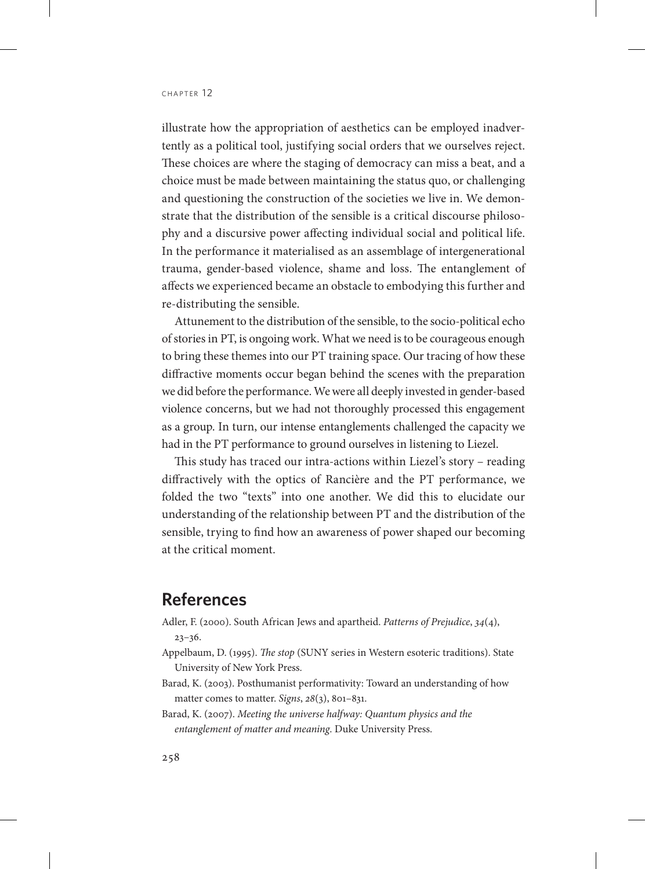#### CHAPTER 12

illustrate how the appropriation of aesthetics can be employed inadvertently as a political tool, justifying social orders that we ourselves reject. These choices are where the staging of democracy can miss a beat, and a choice must be made between maintaining the status quo, or challenging and questioning the construction of the societies we live in. We demonstrate that the distribution of the sensible is a critical discourse philosophy and a discursive power affecting individual social and political life. In the performance it materialised as an assemblage of intergenerational trauma, gender-based violence, shame and loss. The entanglement of affects we experienced became an obstacle to embodying this further and re-distributing the sensible.

Attunement to the distribution of the sensible, to the socio-political echo of stories in PT, is ongoing work. What we need is to be courageous enough to bring these themes into our PT training space. Our tracing of how these diffractive moments occur began behind the scenes with the preparation we did before the performance. We were all deeply invested in gender-based violence concerns, but we had not thoroughly processed this engagement as a group. In turn, our intense entanglements challenged the capacity we had in the PT performance to ground ourselves in listening to Liezel.

This study has traced our intra-actions within Liezel's story – reading diffractively with the optics of Rancière and the PT performance, we folded the two "texts" into one another. We did this to elucidate our understanding of the relationship between PT and the distribution of the sensible, trying to find how an awareness of power shaped our becoming at the critical moment.

# **References**

Adler, F. (2000). South African Jews and apartheid. *Patterns of Prejudice*, *34*(4),

23–36.

- Appelbaum, D. (1995). *The stop* (SUNY series in Western esoteric traditions). State University of New York Press.
- Barad, K. (2003). Posthumanist performativity: Toward an understanding of how matter comes to matter. *Signs*, *28*(3), 801–831.
- Barad, K. (2007). *Meeting the universe halfway: Quantum physics and the entanglement of matter and meaning*. Duke University Press.